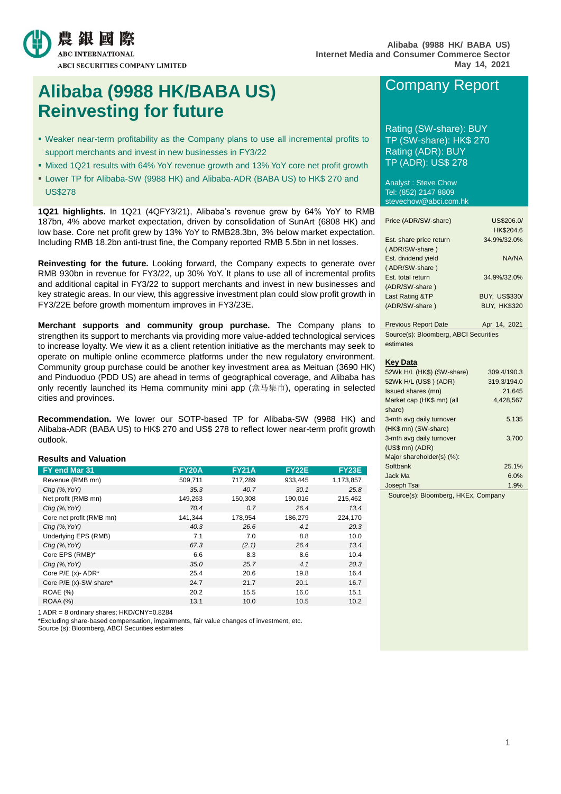

# **Alibaba (9988 HK/BABA US) Reinvesting for future**

- Weaker near-term profitability as the Company plans to use all incremental profits to support merchants and invest in new businesses in FY3/22
- Mixed 1Q21 results with 64% YoY revenue growth and 13% YoY core net profit growth
- Lower TP for Alibaba-SW (9988 HK) and Alibaba-ADR (BABA US) to HK\$ 270 and US\$278

**1Q21 highlights.** In 1Q21 (4QFY3/21), Alibaba's revenue grew by 64% YoY to RMB 187bn, 4% above market expectation, driven by consolidation of SunArt (6808 HK) and low base. Core net profit grew by 13% YoY to RMB28.3bn, 3% below market expectation. Including RMB 18.2bn anti-trust fine, the Company reported RMB 5.5bn in net losses.

**Reinvesting for the future.** Looking forward, the Company expects to generate over RMB 930bn in revenue for FY3/22, up 30% YoY. It plans to use all of incremental profits and additional capital in FY3/22 to support merchants and invest in new businesses and key strategic areas. In our view, this aggressive investment plan could slow profit growth in FY3/22E before growth momentum improves in FY3/23E.

**Merchant supports and community group purchase.** The Company plans to strengthen its support to merchants via providing more value-added technological services to increase loyalty. We view it as a client retention initiative as the merchants may seek to operate on multiple online ecommerce platforms under the new regulatory environment. Community group purchase could be another key investment area as Meituan (3690 HK) and Pinduoduo (PDD US) are ahead in terms of geographical coverage, and Alibaba has only recently launched its Hema community mini app (盒马集市), operating in selected cities and provinces.

**Recommendation.** We lower our SOTP-based TP for Alibaba-SW (9988 HK) and Alibaba-ADR (BABA US) to HK\$ 270 and US\$ 278 to reflect lower near-term profit growth outlook.

### **Results and Valuation**

| FY end Mar 31            | <b>FY20A</b> | <b>FY21A</b> | <b>FY22E</b> | <b>FY23E</b> |
|--------------------------|--------------|--------------|--------------|--------------|
| Revenue (RMB mn)         | 509,711      | 717,289      | 933,445      | 1,173,857    |
| $Chq$ (%, YoY)           | 35.3         | 40.7         | 30.1         | 25.8         |
| Net profit (RMB mn)      | 149,263      | 150,308      | 190,016      | 215,462      |
| $Chq$ (%, YoY)           | 70.4         | 0.7          | 26.4         | 13.4         |
| Core net profit (RMB mn) | 141,344      | 178,954      | 186,279      | 224,170      |
| $Chg$ (%, YoY)           | 40.3         | 26.6         | 4.1          | 20.3         |
| Underlying EPS (RMB)     | 7.1          | 7.0          | 8.8          | 10.0         |
| $Chq$ (%, YoY)           | 67.3         | (2.1)        | 26.4         | 13.4         |
| Core EPS (RMB)*          | 6.6          | 8.3          | 8.6          | 10.4         |
| $Chg$ (%, YoY)           | 35.0         | 25.7         | 4.1          | 20.3         |
| Core $P/E(x)$ - ADR*     | 25.4         | 20.6         | 19.8         | 16.4         |
| Core P/E (x)-SW share*   | 24.7         | 21.7         | 20.1         | 16.7         |
| <b>ROAE</b> (%)          | 20.2         | 15.5         | 16.0         | 15.1         |
| <b>ROAA (%)</b>          | 13.1         | 10.0         | 10.5         | 10.2         |

1 ADR = 8 ordinary shares; HKD/CNY=0.8284

\*Excluding share-based compensation, impairments, fair value changes of investment, etc.

Source (s): Bloomberg, ABCI Securities estimates

# Company Report

Rating (SW-share): BUY TP (SW-share): HK\$ 270 Rating (ADR): BUY TP (ADR): US\$ 278

Analyst : Steve Chow Tel: (852) 2147 8809 stevechow@abci.com.hk

| Price (ADR/SW-share)    | US\$206.0/           |
|-------------------------|----------------------|
|                         | HK\$204.6            |
| Est. share price return | 34.9%/32.0%          |
| (ADR/SW-share)          |                      |
| Est. dividend yield     | NA/NA                |
| (ADR/SW-share)          |                      |
| Est. total return       | 34.9%/32.0%          |
| (ADR/SW-share)          |                      |
| Last Rating &TP         | <b>BUY. US\$330/</b> |
| (ADR/SW-share)          | <b>BUY, HK\$320</b>  |
|                         |                      |

Previous Report Date Apr 14, 2021 Source(s): Bloomberg, ABCI Securities estimates

#### **Key Data**

| 52Wk H/L (HK\$) (SW-share) | 309.4/190.3 |
|----------------------------|-------------|
| 52Wk H/L (US\$) (ADR)      | 319.3/194.0 |
| Issued shares (mn)         | 21.645      |
| Market cap (HK\$ mn) (all  | 4.428.567   |
| share)                     |             |
| 3-mth avg daily turnover   | 5,135       |
| (HK\$ mn) (SW-share)       |             |
| 3-mth avg daily turnover   | 3.700       |
| $(US$$ mn $)$ $(ADR)$      |             |
| Major shareholder(s) (%):  |             |
| Softbank                   | 25.1%       |
| Jack Ma                    | 6.0%        |
| Joseph Tsai                | 1.9%        |

Source(s): Bloomberg, HKEx, Company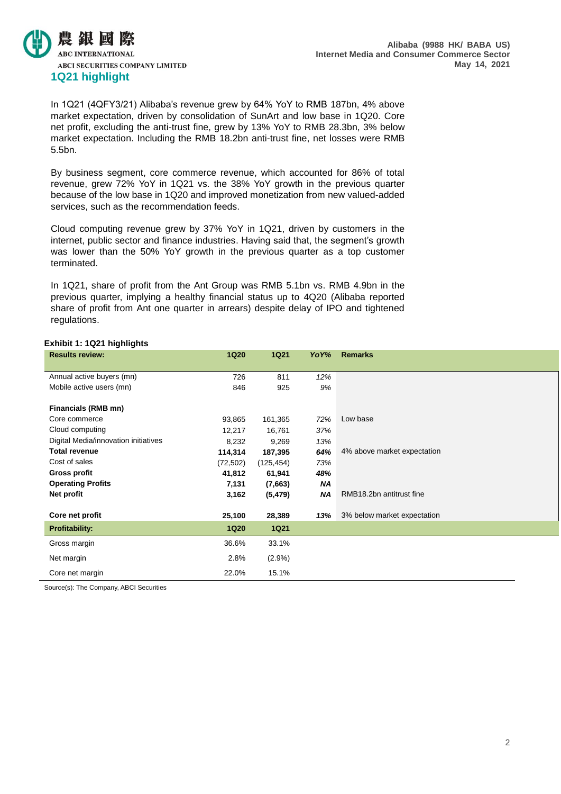

In 1Q21 (4QFY3/21) Alibaba's revenue grew by 64% YoY to RMB 187bn, 4% above market expectation, driven by consolidation of SunArt and low base in 1Q20. Core net profit, excluding the anti-trust fine, grew by 13% YoY to RMB 28.3bn, 3% below market expectation. Including the RMB 18.2bn anti-trust fine, net losses were RMB 5.5bn.

By business segment, core commerce revenue, which accounted for 86% of total revenue, grew 72% YoY in 1Q21 vs. the 38% YoY growth in the previous quarter because of the low base in 1Q20 and improved monetization from new valued-added services, such as the recommendation feeds.

Cloud computing revenue grew by 37% YoY in 1Q21, driven by customers in the internet, public sector and finance industries. Having said that, the segment's growth was lower than the 50% YoY growth in the previous quarter as a top customer terminated.

In 1Q21, share of profit from the Ant Group was RMB 5.1bn vs. RMB 4.9bn in the previous quarter, implying a healthy financial status up to 4Q20 (Alibaba reported share of profit from Ant one quarter in arrears) despite delay of IPO and tightened regulations.

### **Exhibit 1: 1Q21 highlights**

| <b>Results review:</b>               | <b>1Q20</b> | <b>1Q21</b> | Yo Y% | <b>Remarks</b>              |
|--------------------------------------|-------------|-------------|-------|-----------------------------|
|                                      |             |             |       |                             |
| Annual active buyers (mn)            | 726         | 811         | 12%   |                             |
| Mobile active users (mn)             | 846         | 925         | 9%    |                             |
|                                      |             |             |       |                             |
| Financials (RMB mn)                  |             |             |       |                             |
| Core commerce                        | 93,865      | 161,365     | 72%   | Low base                    |
| Cloud computing                      | 12,217      | 16,761      | 37%   |                             |
| Digital Media/innovation initiatives | 8,232       | 9,269       | 13%   |                             |
| <b>Total revenue</b>                 | 114,314     | 187,395     | 64%   | 4% above market expectation |
| Cost of sales                        | (72, 502)   | (125, 454)  | 73%   |                             |
| <b>Gross profit</b>                  | 41,812      | 61,941      | 48%   |                             |
| <b>Operating Profits</b>             | 7,131       | (7,663)     | ΝA    |                             |
| Net profit                           | 3,162       | (5, 479)    | NA    | RMB18.2bn antitrust fine    |
|                                      |             |             |       |                             |
| Core net profit                      | 25,100      | 28,389      | 13%   | 3% below market expectation |
| <b>Profitability:</b>                | <b>1Q20</b> | <b>1Q21</b> |       |                             |
| Gross margin                         | 36.6%       | 33.1%       |       |                             |
| Net margin                           | 2.8%        | $(2.9\%)$   |       |                             |
| Core net margin                      | 22.0%       | 15.1%       |       |                             |

Source(s): The Company, ABCI Securities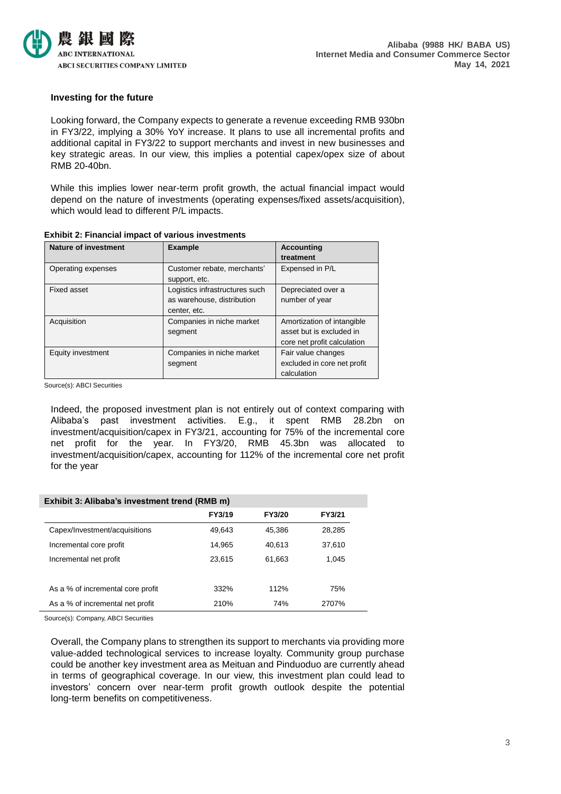

### **Investing for the future**

Looking forward, the Company expects to generate a revenue exceeding RMB 930bn in FY3/22, implying a 30% YoY increase. It plans to use all incremental profits and additional capital in FY3/22 to support merchants and invest in new businesses and key strategic areas. In our view, this implies a potential capex/opex size of about RMB 20-40bn.

While this implies lower near-term profit growth, the actual financial impact would depend on the nature of investments (operating expenses/fixed assets/acquisition), which would lead to different P/L impacts.

| <b>Nature of investment</b> | <b>Example</b>                                                               | <b>Accounting</b><br>treatment                                                        |
|-----------------------------|------------------------------------------------------------------------------|---------------------------------------------------------------------------------------|
| Operating expenses          | Customer rebate, merchants'<br>support, etc.                                 | Expensed in P/L                                                                       |
| Fixed asset                 | Logistics infrastructures such<br>as warehouse, distribution<br>center, etc. | Depreciated over a<br>number of year                                                  |
| Acquisition                 | Companies in niche market<br>segment                                         | Amortization of intangible<br>asset but is excluded in<br>core net profit calculation |
| Equity investment           | Companies in niche market<br>segment                                         | Fair value changes<br>excluded in core net profit<br>calculation                      |

### **Exhibit 2: Financial impact of various investments**

Source(s): ABCI Securities

Indeed, the proposed investment plan is not entirely out of context comparing with Alibaba's past investment activities. E.g., it spent RMB 28.2bn on investment/acquisition/capex in FY3/21, accounting for 75% of the incremental core net profit for the year. In FY3/20, RMB 45.3bn was allocated to investment/acquisition/capex, accounting for 112% of the incremental core net profit for the year

| Exhibit 3: Alibaba's investment trend (RMB m) |        |        |        |  |  |  |
|-----------------------------------------------|--------|--------|--------|--|--|--|
|                                               | FY3/19 | FY3/20 | FY3/21 |  |  |  |
| Capex/Investment/acquisitions                 | 49,643 | 45,386 | 28,285 |  |  |  |
| Incremental core profit                       | 14,965 | 40,613 | 37,610 |  |  |  |
| Incremental net profit                        | 23.615 | 61,663 | 1,045  |  |  |  |
|                                               |        |        |        |  |  |  |
| As a % of incremental core profit             | 332%   | 112%   | 75%    |  |  |  |
| As a % of incremental net profit              | 210%   | 74%    | 2707%  |  |  |  |

Source(s): Company, ABCI Securities

Overall, the Company plans to strengthen its support to merchants via providing more value-added technological services to increase loyalty. Community group purchase could be another key investment area as Meituan and Pinduoduo are currently ahead in terms of geographical coverage. In our view, this investment plan could lead to investors' concern over near-term profit growth outlook despite the potential long-term benefits on competitiveness.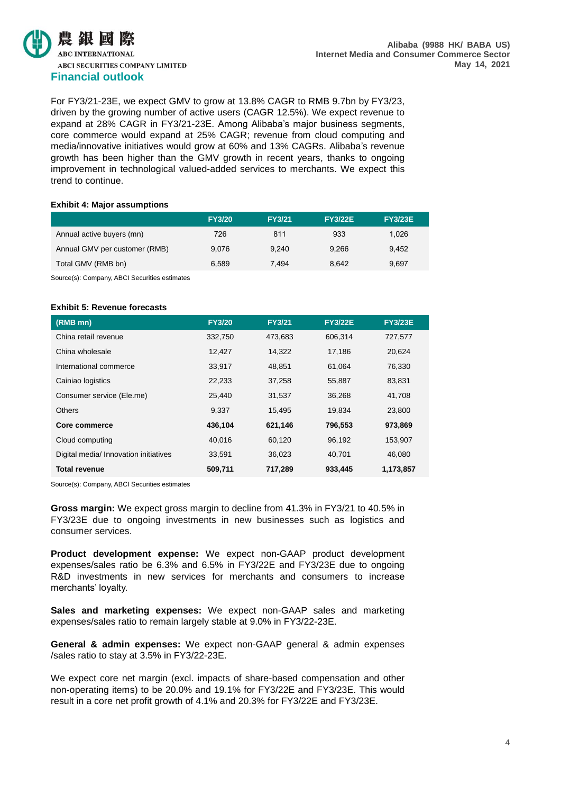

For FY3/21-23E, we expect GMV to grow at 13.8% CAGR to RMB 9.7bn by FY3/23, driven by the growing number of active users (CAGR 12.5%). We expect revenue to expand at 28% CAGR in FY3/21-23E. Among Alibaba's major business segments, core commerce would expand at 25% CAGR; revenue from cloud computing and media/innovative initiatives would grow at 60% and 13% CAGRs. Alibaba's revenue growth has been higher than the GMV growth in recent years, thanks to ongoing improvement in technological valued-added services to merchants. We expect this trend to continue.

### **Exhibit 4: Major assumptions**

|                               | <b>FY3/20</b> | <b>FY3/21</b> | <b>FY3/22E</b> | <b>FY3/23E</b> |
|-------------------------------|---------------|---------------|----------------|----------------|
| Annual active buyers (mn)     | 726           | 811           | 933            | 1.026          |
| Annual GMV per customer (RMB) | 9.076         | 9.240         | 9.266          | 9.452          |
| Total GMV (RMB bn)            | 6.589         | 7.494         | 8.642          | 9,697          |
|                               |               |               |                |                |

Source(s): Company, ABCI Securities estimates

### **Exhibit 5: Revenue forecasts**

| (RMB mn)                              | <b>FY3/20</b> | <b>FY3/21</b> | <b>FY3/22E</b> | <b>FY3/23E</b> |
|---------------------------------------|---------------|---------------|----------------|----------------|
| China retail revenue                  | 332,750       | 473,683       | 606,314        | 727,577        |
| China wholesale                       | 12,427        | 14,322        | 17,186         | 20,624         |
| International commerce                | 33,917        | 48,851        | 61,064         | 76,330         |
| Cainiao logistics                     | 22,233        | 37,258        | 55,887         | 83,831         |
| Consumer service (Ele.me)             | 25.440        | 31,537        | 36,268         | 41.708         |
| <b>Others</b>                         | 9.337         | 15,495        | 19.834         | 23,800         |
| Core commerce                         | 436.104       | 621,146       | 796,553        | 973,869        |
| Cloud computing                       | 40,016        | 60,120        | 96,192         | 153,907        |
| Digital media/ Innovation initiatives | 33.591        | 36.023        | 40.701         | 46.080         |
| <b>Total revenue</b>                  | 509,711       | 717,289       | 933,445        | 1,173,857      |

Source(s): Company, ABCI Securities estimates

**Gross margin:** We expect gross margin to decline from 41.3% in FY3/21 to 40.5% in FY3/23E due to ongoing investments in new businesses such as logistics and consumer services.

**Product development expense:** We expect non-GAAP product development expenses/sales ratio be 6.3% and 6.5% in FY3/22E and FY3/23E due to ongoing R&D investments in new services for merchants and consumers to increase merchants' loyalty.

**Sales and marketing expenses:** We expect non-GAAP sales and marketing expenses/sales ratio to remain largely stable at 9.0% in FY3/22-23E.

**General & admin expenses:** We expect non-GAAP general & admin expenses /sales ratio to stay at 3.5% in FY3/22-23E.

We expect core net margin (excl. impacts of share-based compensation and other non-operating items) to be 20.0% and 19.1% for FY3/22E and FY3/23E. This would result in a core net profit growth of 4.1% and 20.3% for FY3/22E and FY3/23E.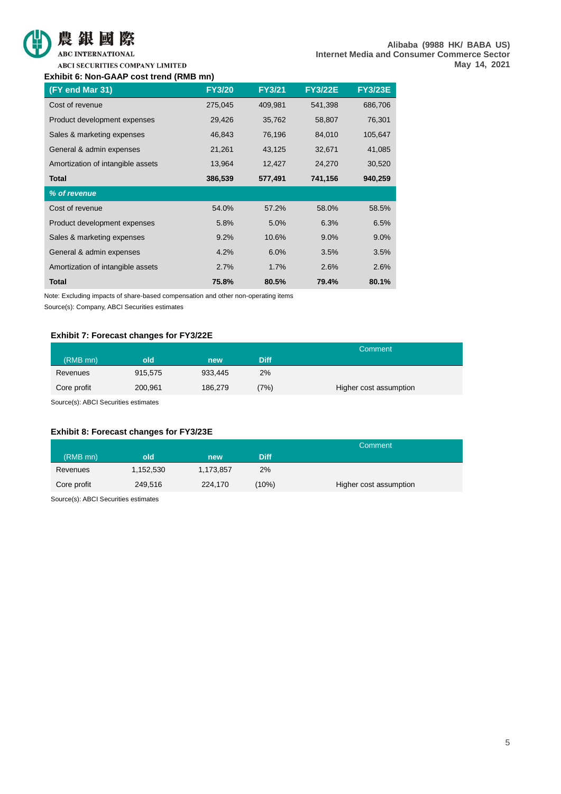



**ABC INTERNATIONAL** 

ABCI SECURITIES COMPANY LIMITED

### **Exhibit 6: Non-GAAP cost trend (RMB mn)**

| (FY end Mar 31)                   | <b>FY3/20</b> | <b>FY3/21</b> | <b>FY3/22E</b> | <b>FY3/23E</b> |
|-----------------------------------|---------------|---------------|----------------|----------------|
| Cost of revenue                   | 275,045       | 409,981       | 541,398        | 686,706        |
| Product development expenses      | 29,426        | 35,762        | 58,807         | 76,301         |
| Sales & marketing expenses        | 46,843        | 76,196        | 84,010         | 105,647        |
| General & admin expenses          | 21,261        | 43,125        | 32,671         | 41,085         |
| Amortization of intangible assets | 13,964        | 12,427        | 24,270         | 30,520         |
| <b>Total</b>                      | 386,539       | 577,491       | 741,156        | 940,259        |
| % of revenue                      |               |               |                |                |
| Cost of revenue                   | 54.0%         | 57.2%         | 58.0%          | 58.5%          |
| Product development expenses      | 5.8%          | 5.0%          | 6.3%           | 6.5%           |
| Sales & marketing expenses        | 9.2%          | 10.6%         | 9.0%           | $9.0\%$        |
| General & admin expenses          | 4.2%          | 6.0%          | 3.5%           | 3.5%           |
| Amortization of intangible assets | 2.7%          | 1.7%          | 2.6%           | 2.6%           |
| <b>Total</b>                      | 75.8%         | 80.5%         | 79.4%          | 80.1%          |

Note: Excluding impacts of share-based compensation and other non-operating items

Source(s): Company, ABCI Securities estimates

### **Exhibit 7: Forecast changes for FY3/22E**

|             |         |         |             | Comment                |
|-------------|---------|---------|-------------|------------------------|
| (RMB mn)    | old     | new     | <b>Diff</b> |                        |
| Revenues    | 915,575 | 933.445 | 2%          |                        |
| Core profit | 200,961 | 186,279 | (7%)        | Higher cost assumption |
|             |         |         |             |                        |

Source(s): ABCI Securities estimates

### **Exhibit 8: Forecast changes for FY3/23E**

|           |           |             | Comment                |
|-----------|-----------|-------------|------------------------|
| old       | new       | <b>Diff</b> |                        |
| 1,152,530 | 1,173,857 | 2%          |                        |
| 249.516   | 224,170   | (10%)       | Higher cost assumption |
|           |           |             |                        |

Source(s): ABCI Securities estimates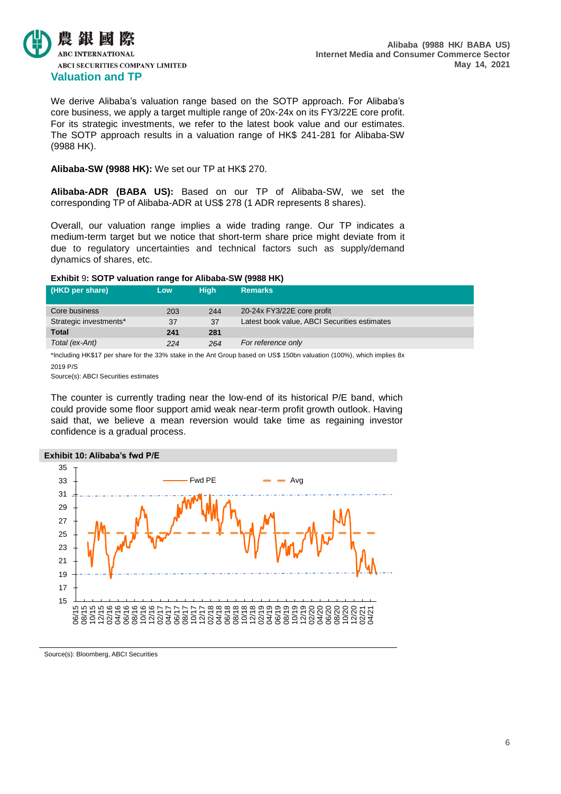

We derive Alibaba's valuation range based on the SOTP approach. For Alibaba's core business, we apply a target multiple range of 20x-24x on its FY3/22E core profit. For its strategic investments, we refer to the latest book value and our estimates. The SOTP approach results in a valuation range of HK\$ 241-281 for Alibaba-SW (9988 HK).

### **Alibaba-SW (9988 HK):** We set our TP at HK\$ 270.

**Alibaba-ADR (BABA US):** Based on our TP of Alibaba-SW, we set the corresponding TP of Alibaba-ADR at US\$ 278 (1 ADR represents 8 shares).

Overall, our valuation range implies a wide trading range. Our TP indicates a medium-term target but we notice that short-term share price might deviate from it due to regulatory uncertainties and technical factors such as supply/demand dynamics of shares, etc.

### **Exhibit** 9**: SOTP valuation range for Alibaba-SW (9988 HK)**

| (HKD per share)        | <b>Low</b> | Hiah | <b>Remarks</b>                               |
|------------------------|------------|------|----------------------------------------------|
| Core business          | 203        | 244  | 20-24x FY3/22E core profit                   |
| Strategic investments* | 37         | 37   | Latest book value, ABCI Securities estimates |
| <b>Total</b>           | 241        | 281  |                                              |
| Total (ex-Ant)         | 224        | 264  | For reference only                           |
|                        |            |      |                                              |

\*Including HK\$17 per share for the 33% stake in the Ant Group based on US\$ 150bn valuation (100%), which implies 8x 2019 P/S

Source(s): ABCI Securities estimates

The counter is currently trading near the low-end of its historical P/E band, which could provide some floor support amid weak near-term profit growth outlook. Having said that, we believe a mean reversion would take time as regaining investor confidence is a gradual process.



Source(s): Bloomberg, ABCI Securities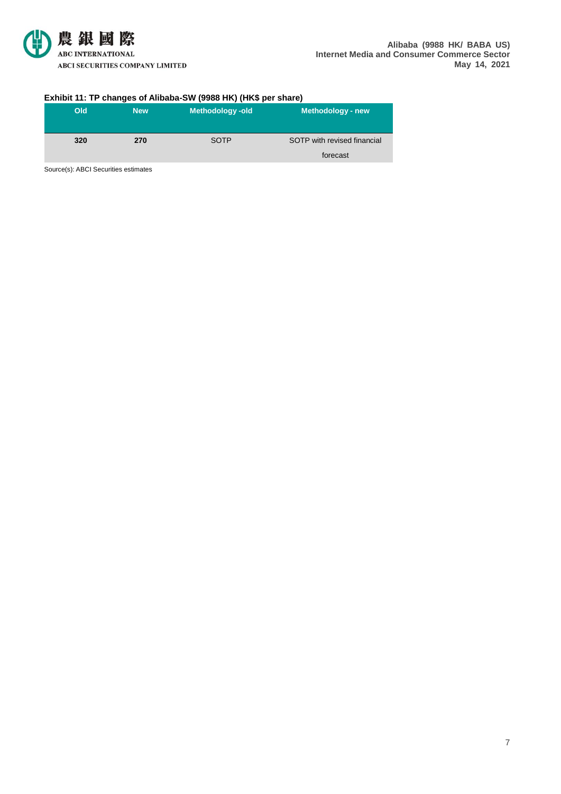

### **Exhibit 11: TP changes of Alibaba-SW (9988 HK) (HK\$ per share)**

| Old | <b>New</b> | Methodology-old | Methodology - new           |
|-----|------------|-----------------|-----------------------------|
| 320 | 270        | <b>SOTP</b>     | SOTP with revised financial |
|     |            |                 | forecast                    |

Source(s): ABCI Securities estimates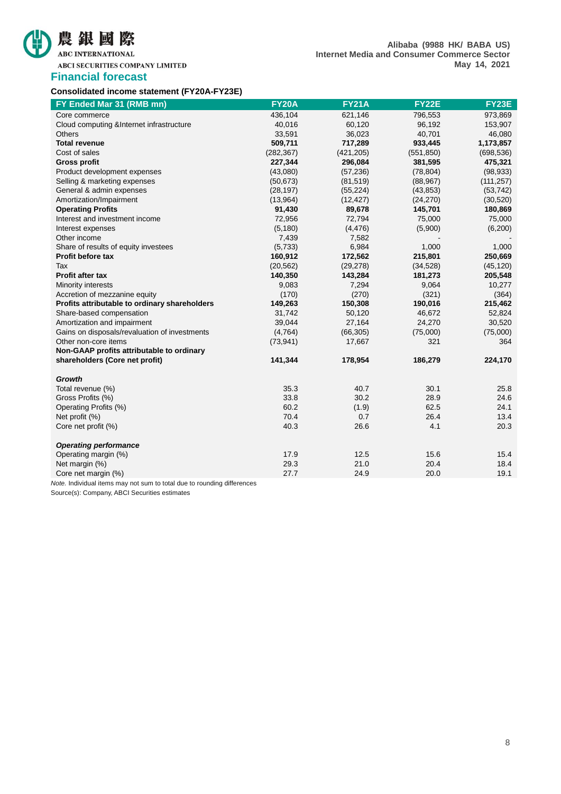## 農銀國際 ABC INTERNATIONAL

### **Financial forecast**

| Consolidated income statement (FY20A-FY23E) |  |  |  |  |
|---------------------------------------------|--|--|--|--|
|---------------------------------------------|--|--|--|--|

| FY Ended Mar 31 (RMB mn)                      | <b>FY20A</b> | <b>FY21A</b> | <b>FY22E</b> | FY23E      |
|-----------------------------------------------|--------------|--------------|--------------|------------|
| Core commerce                                 | 436,104      | 621,146      | 796,553      | 973,869    |
| Cloud computing & Internet infrastructure     | 40,016       | 60,120       | 96,192       | 153,907    |
| <b>Others</b>                                 | 33,591       | 36,023       | 40,701       | 46,080     |
| <b>Total revenue</b>                          | 509,711      | 717,289      | 933,445      | 1,173,857  |
| Cost of sales                                 | (282, 367)   | (421, 205)   | (551, 850)   | (698, 536) |
| <b>Gross profit</b>                           | 227,344      | 296,084      | 381,595      | 475,321    |
| Product development expenses                  | (43,080)     | (57, 236)    | (78, 804)    | (98, 933)  |
| Selling & marketing expenses                  | (50, 673)    | (81, 519)    | (88, 967)    | (111, 257) |
| General & admin expenses                      | (28, 197)    | (55, 224)    | (43, 853)    | (53, 742)  |
| Amortization/Impairment                       | (13,964)     | (12, 427)    | (24, 270)    | (30, 520)  |
| <b>Operating Profits</b>                      | 91,430       | 89,678       | 145,701      | 180,869    |
| Interest and investment income                | 72,956       | 72,794       | 75,000       | 75,000     |
| Interest expenses                             | (5, 180)     | (4, 476)     | (5,900)      | (6,200)    |
| Other income                                  | 7,439        | 7,582        |              |            |
| Share of results of equity investees          | (5,733)      | 6,984        | 1,000        | 1,000      |
| <b>Profit before tax</b>                      | 160,912      | 172,562      | 215,801      | 250,669    |
| Tax                                           | (20, 562)    | (29, 278)    | (34, 528)    | (45, 120)  |
| <b>Profit after tax</b>                       | 140,350      | 143,284      | 181,273      | 205,548    |
| Minority interests                            | 9,083        | 7,294        | 9,064        | 10,277     |
| Accretion of mezzanine equity                 | (170)        | (270)        | (321)        | (364)      |
| Profits attributable to ordinary shareholders | 149,263      | 150,308      | 190,016      | 215,462    |
| Share-based compensation                      | 31,742       | 50,120       | 46,672       | 52,824     |
| Amortization and impairment                   | 39,044       | 27,164       | 24,270       | 30,520     |
| Gains on disposals/revaluation of investments | (4,764)      | (66, 305)    | (75,000)     | (75,000)   |
| Other non-core items                          | (73, 941)    | 17,667       | 321          | 364        |
| Non-GAAP profits attributable to ordinary     |              |              |              |            |
| shareholders (Core net profit)                | 141,344      | 178,954      | 186,279      | 224,170    |
| <b>Growth</b>                                 |              |              |              |            |
| Total revenue (%)                             | 35.3         | 40.7         | 30.1         | 25.8       |
| Gross Profits (%)                             | 33.8         | 30.2         | 28.9         | 24.6       |
| Operating Profits (%)                         | 60.2         | (1.9)        | 62.5         | 24.1       |
| Net profit (%)                                | 70.4         | 0.7          | 26.4         | 13.4       |
| Core net profit (%)                           | 40.3         | 26.6         | 4.1          | 20.3       |
|                                               |              |              |              |            |
| <b>Operating performance</b>                  |              |              |              |            |
| Operating margin (%)                          | 17.9         | 12.5         | 15.6         | 15.4       |
| Net margin (%)                                | 29.3         | 21.0         | 20.4         | 18.4       |
| Core net margin (%)                           | 27.7         | 24.9         | 20.0         | 19.1       |

*Note.* Individual items may not sum to total due to rounding differences

Source(s): Company, ABCI Securities estimates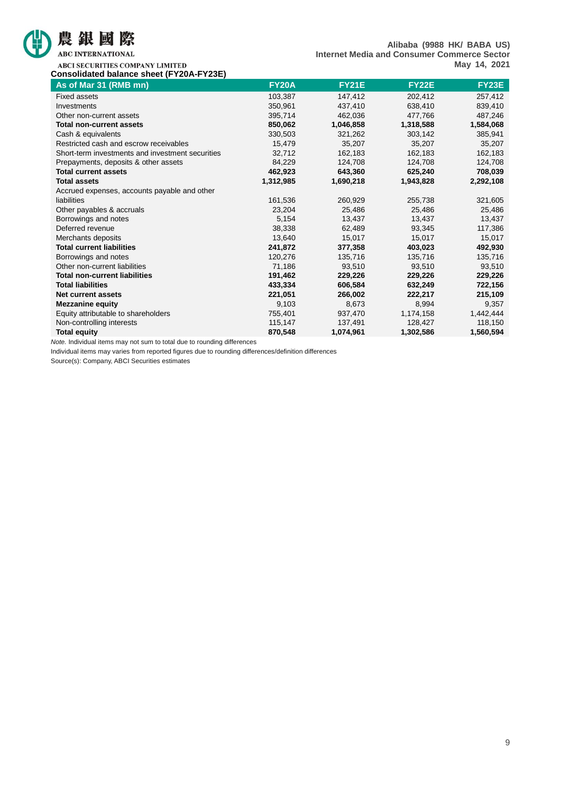

ABC INTERNATIONAL

**Alibaba (9988 HK/ BABA US) Internet Media and Consumer Commerce Sector May 14, 2021**

ABCI SECURITIES COMPANY LIMITED **Consolidated balance sheet (FY20A-FY23E)**

| As of Mar 31 (RMB mn)                            | <b>FY20A</b> | <b>FY21E</b> | <b>FY22E</b> | <b>FY23E</b> |
|--------------------------------------------------|--------------|--------------|--------------|--------------|
| <b>Fixed assets</b>                              | 103,387      | 147,412      | 202,412      | 257,412      |
| Investments                                      | 350,961      | 437,410      | 638,410      | 839,410      |
| Other non-current assets                         | 395,714      | 462,036      | 477,766      | 487,246      |
| <b>Total non-current assets</b>                  | 850,062      | 1,046,858    | 1,318,588    | 1,584,068    |
| Cash & equivalents                               | 330,503      | 321,262      | 303,142      | 385,941      |
| Restricted cash and escrow receivables           | 15,479       | 35,207       | 35,207       | 35,207       |
| Short-term investments and investment securities | 32,712       | 162,183      | 162,183      | 162,183      |
| Prepayments, deposits & other assets             | 84,229       | 124,708      | 124,708      | 124,708      |
| <b>Total current assets</b>                      | 462,923      | 643,360      | 625,240      | 708,039      |
| <b>Total assets</b>                              | 1,312,985    | 1,690,218    | 1,943,828    | 2,292,108    |
| Accrued expenses, accounts payable and other     |              |              |              |              |
| liabilities                                      | 161,536      | 260,929      | 255,738      | 321,605      |
| Other payables & accruals                        | 23,204       | 25,486       | 25,486       | 25,486       |
| Borrowings and notes                             | 5,154        | 13,437       | 13,437       | 13,437       |
| Deferred revenue                                 | 38,338       | 62,489       | 93,345       | 117,386      |
| Merchants deposits                               | 13,640       | 15,017       | 15,017       | 15,017       |
| <b>Total current liabilities</b>                 | 241,872      | 377,358      | 403,023      | 492,930      |
| Borrowings and notes                             | 120,276      | 135,716      | 135,716      | 135,716      |
| Other non-current liabilities                    | 71,186       | 93,510       | 93,510       | 93,510       |
| <b>Total non-current liabilities</b>             | 191,462      | 229,226      | 229,226      | 229,226      |
| <b>Total liabilities</b>                         | 433,334      | 606,584      | 632,249      | 722,156      |
| <b>Net current assets</b>                        | 221,051      | 266,002      | 222,217      | 215,109      |
| <b>Mezzanine equity</b>                          | 9,103        | 8,673        | 8,994        | 9,357        |
| Equity attributable to shareholders              | 755,401      | 937,470      | 1,174,158    | 1,442,444    |
| Non-controlling interests                        | 115,147      | 137,491      | 128,427      | 118,150      |
| <b>Total equity</b>                              | 870,548      | 1,074,961    | 1,302,586    | 1,560,594    |

*Note.* Individual items may not sum to total due to rounding differences

Individual items may varies from reported figures due to rounding differences/definition differences

Source(s): Company, ABCI Securities estimates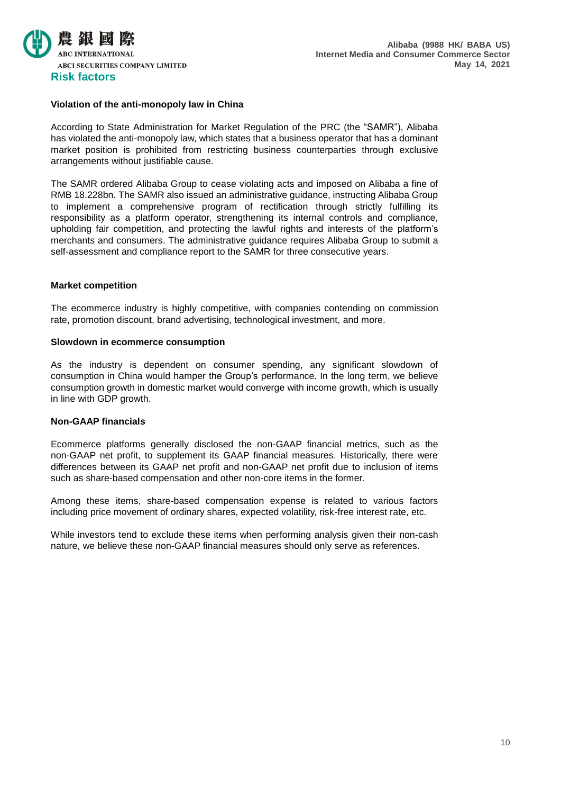

### **Violation of the anti-monopoly law in China**

According to State Administration for Market Regulation of the PRC (the "SAMR"), Alibaba has violated the anti-monopoly law, which states that a business operator that has a dominant market position is prohibited from restricting business counterparties through exclusive arrangements without justifiable cause.

The SAMR ordered Alibaba Group to cease violating acts and imposed on Alibaba a fine of RMB 18.228bn. The SAMR also issued an administrative guidance, instructing Alibaba Group to implement a comprehensive program of rectification through strictly fulfilling its responsibility as a platform operator, strengthening its internal controls and compliance, upholding fair competition, and protecting the lawful rights and interests of the platform's merchants and consumers. The administrative guidance requires Alibaba Group to submit a self-assessment and compliance report to the SAMR for three consecutive years.

### **Market competition**

The ecommerce industry is highly competitive, with companies contending on commission rate, promotion discount, brand advertising, technological investment, and more.

### **Slowdown in ecommerce consumption**

As the industry is dependent on consumer spending, any significant slowdown of consumption in China would hamper the Group's performance. In the long term, we believe consumption growth in domestic market would converge with income growth, which is usually in line with GDP growth.

### **Non-GAAP financials**

Ecommerce platforms generally disclosed the non-GAAP financial metrics, such as the non-GAAP net profit, to supplement its GAAP financial measures. Historically, there were differences between its GAAP net profit and non-GAAP net profit due to inclusion of items such as share-based compensation and other non-core items in the former.

Among these items, share-based compensation expense is related to various factors including price movement of ordinary shares, expected volatility, risk-free interest rate, etc.

While investors tend to exclude these items when performing analysis given their non-cash nature, we believe these non-GAAP financial measures should only serve as references.